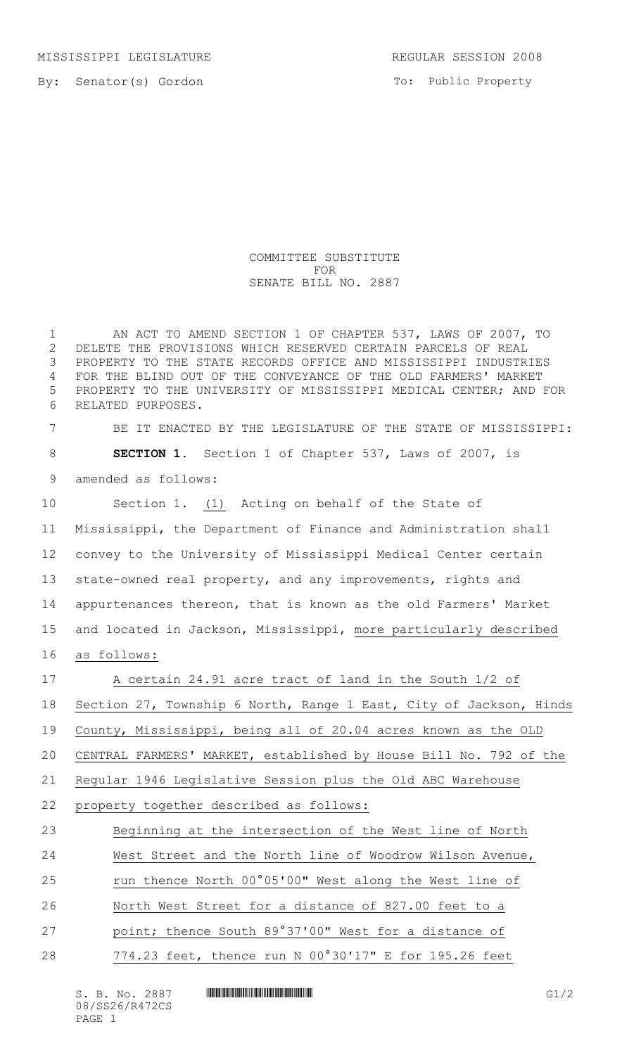MISSISSIPPI LEGISLATURE REGULAR SESSION 2008

To: Public Property

COMMITTEE SUBSTITUTE FOR SENATE BILL NO. 2887

 AN ACT TO AMEND SECTION 1 OF CHAPTER 537, LAWS OF 2007, TO DELETE THE PROVISIONS WHICH RESERVED CERTAIN PARCELS OF REAL PROPERTY TO THE STATE RECORDS OFFICE AND MISSISSIPPI INDUSTRIES FOR THE BLIND OUT OF THE CONVEYANCE OF THE OLD FARMERS' MARKET PROPERTY TO THE UNIVERSITY OF MISSISSIPPI MEDICAL CENTER; AND FOR RELATED PURPOSES.

 BE IT ENACTED BY THE LEGISLATURE OF THE STATE OF MISSISSIPPI: **SECTION 1.** Section 1 of Chapter 537, Laws of 2007, is amended as follows:

 Section 1. (1) Acting on behalf of the State of Mississippi, the Department of Finance and Administration shall convey to the University of Mississippi Medical Center certain state-owned real property, and any improvements, rights and appurtenances thereon, that is known as the old Farmers' Market and located in Jackson, Mississippi, more particularly described as follows:

 A certain 24.91 acre tract of land in the South 1/2 of Section 27, Township 6 North, Range 1 East, City of Jackson, Hinds County, Mississippi, being all of 20.04 acres known as the OLD CENTRAL FARMERS' MARKET, established by House Bill No. 792 of the Regular 1946 Legislative Session plus the Old ABC Warehouse property together described as follows: Beginning at the intersection of the West line of North West Street and the North line of Woodrow Wilson Avenue, run thence North 00°05'00" West along the West line of North West Street for a distance of 827.00 feet to a point; thence South 89°37'00" West for a distance of

28 774.23 feet, thence run N 00°30'17" E for 195.26 feet

 $S. B. No. 2887$  .  $M$  .  $G1/2$ 08/SS26/R472CS PAGE 1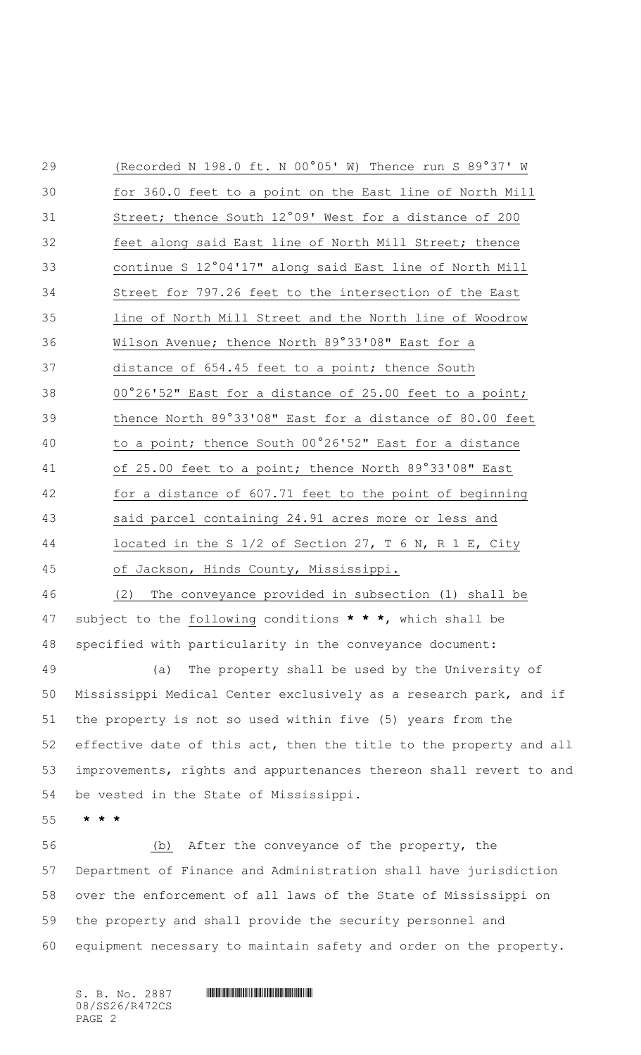(Recorded N 198.0 ft. N 00°05' W) Thence run S 89°37' W for 360.0 feet to a point on the East line of North Mill Street; thence South 12°09' West for a distance of 200 feet along said East line of North Mill Street; thence continue S 12°04'17" along said East line of North Mill Street for 797.26 feet to the intersection of the East line of North Mill Street and the North line of Woodrow Wilson Avenue; thence North 89°33'08" East for a 37 distance of 654.45 feet to a point; thence South 00°26'52" East for a distance of 25.00 feet to a point; thence North 89°33'08" East for a distance of 80.00 feet to a point; thence South 00°26'52" East for a distance of 25.00 feet to a point; thence North 89°33'08" East for a distance of 607.71 feet to the point of beginning said parcel containing 24.91 acres more or less and located in the S 1/2 of Section 27, T 6 N, R 1 E, City of Jackson, Hinds County, Mississippi. (2) The conveyance provided in subsection (1) shall be subject to the following conditions **\* \* \***, which shall be specified with particularity in the conveyance document: (a) The property shall be used by the University of Mississippi Medical Center exclusively as a research park, and if the property is not so used within five (5) years from the effective date of this act, then the title to the property and all improvements, rights and appurtenances thereon shall revert to and

be vested in the State of Mississippi.

**\* \* \***

 (b) After the conveyance of the property, the Department of Finance and Administration shall have jurisdiction over the enforcement of all laws of the State of Mississippi on the property and shall provide the security personnel and equipment necessary to maintain safety and order on the property.

08/SS26/R472CS PAGE 2

 $S. B. No. 2887$  . So  $R$  and  $R$  and  $R$  and  $R$  and  $R$  and  $R$